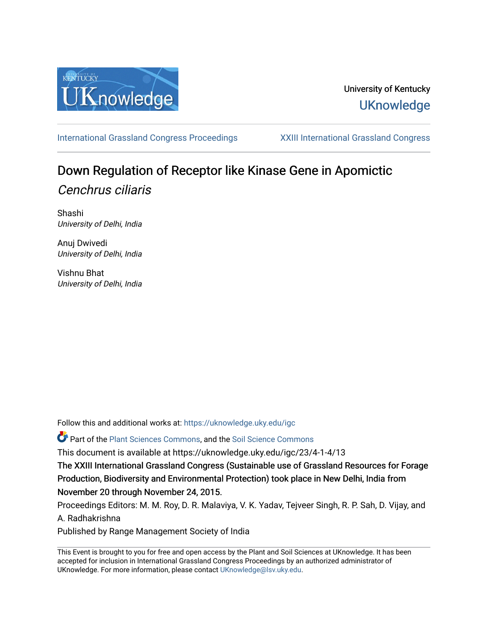

## University of Kentucky **UKnowledge**

[International Grassland Congress Proceedings](https://uknowledge.uky.edu/igc) [XXIII International Grassland Congress](https://uknowledge.uky.edu/igc/23) 

# Down Regulation of Receptor like Kinase Gene in Apomictic Cenchrus ciliaris

Shashi University of Delhi, India

Anuj Dwivedi University of Delhi, India

Vishnu Bhat University of Delhi, India

Follow this and additional works at: [https://uknowledge.uky.edu/igc](https://uknowledge.uky.edu/igc?utm_source=uknowledge.uky.edu%2Figc%2F23%2F4-1-4%2F13&utm_medium=PDF&utm_campaign=PDFCoverPages) 

Part of the [Plant Sciences Commons](http://network.bepress.com/hgg/discipline/102?utm_source=uknowledge.uky.edu%2Figc%2F23%2F4-1-4%2F13&utm_medium=PDF&utm_campaign=PDFCoverPages), and the [Soil Science Commons](http://network.bepress.com/hgg/discipline/163?utm_source=uknowledge.uky.edu%2Figc%2F23%2F4-1-4%2F13&utm_medium=PDF&utm_campaign=PDFCoverPages) 

This document is available at https://uknowledge.uky.edu/igc/23/4-1-4/13

The XXIII International Grassland Congress (Sustainable use of Grassland Resources for Forage Production, Biodiversity and Environmental Protection) took place in New Delhi, India from November 20 through November 24, 2015.

Proceedings Editors: M. M. Roy, D. R. Malaviya, V. K. Yadav, Tejveer Singh, R. P. Sah, D. Vijay, and A. Radhakrishna

Published by Range Management Society of India

This Event is brought to you for free and open access by the Plant and Soil Sciences at UKnowledge. It has been accepted for inclusion in International Grassland Congress Proceedings by an authorized administrator of UKnowledge. For more information, please contact [UKnowledge@lsv.uky.edu](mailto:UKnowledge@lsv.uky.edu).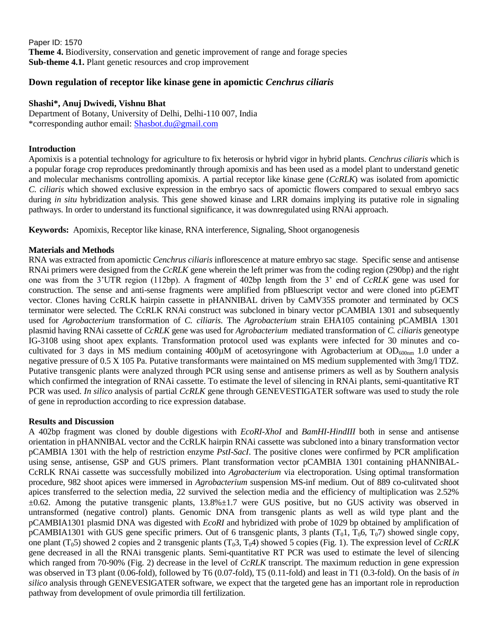Paper ID: 1570 **Theme 4.** Biodiversity, conservation and genetic improvement of range and forage species **Sub-theme 4.1.** Plant genetic resources and crop improvement

### **Down regulation of receptor like kinase gene in apomictic** *Cenchrus ciliaris*

#### **Shashi\*, Anuj Dwivedi, Vishnu Bhat**

Department of Botany, University of Delhi, Delhi-110 007, India \*corresponding author email: [Shasbot.du@gmail.com](mailto:Shasbot.du@gmail.com)

#### **Introduction**

Apomixis is a potential technology for agriculture to fix heterosis or hybrid vigor in hybrid plants. *Cenchrus ciliaris* which is a popular forage crop reproduces predominantly through apomixis and has been used as a model plant to understand genetic and molecular mechanisms controlling apomixis. A partial receptor like kinase gene (*CcRLK*) was isolated from apomictic *C. ciliaris* which showed exclusive expression in the embryo sacs of apomictic flowers compared to sexual embryo sacs during *in situ* hybridization analysis. This gene showed kinase and LRR domains implying its putative role in signaling pathways. In order to understand its functional significance, it was downregulated using RNAi approach.

**Keywords:** Apomixis, Receptor like kinase, RNA interference, Signaling, Shoot organogenesis

#### **Materials and Methods**

RNA was extracted from apomictic *Cenchrus ciliaris* inflorescence at mature embryo sac stage. Specific sense and antisense RNAi primers were designed from the *CcRLK* gene wherein the left primer was from the coding region (290bp) and the right one was from the 3'UTR region (112bp). A fragment of 402bp length from the 3' end of *CcRLK* gene was used for construction. The sense and anti-sense fragments were amplified from pBluescript vector and were cloned into pGEMT vector. Clones having CcRLK hairpin cassette in pHANNIBAL driven by CaMV35S promoter and terminated by OCS terminator were selected. The CcRLK RNAi construct was subcloned in binary vector pCAMBIA 1301 and subsequently used for *Agrobacterium* transformation of *C. ciliaris*. The *Agrobacterium* strain EHA105 containing pCAMBIA 1301 plasmid having RNAi cassette of *CcRLK* gene was used for *Agrobacterium* mediated transformation of *C. ciliaris* geneotype IG-3108 using shoot apex explants. Transformation protocol used was explants were infected for 30 minutes and cocultivated for 3 days in MS medium containing 400 $\mu$ M of acetosyringone with Agrobacterium at OD<sub>600nm</sub> 1.0 under a negative pressure of 0.5 X 105 Pa. Putative transformants were maintained on MS medium supplemented with 3mg/l TDZ. Putative transgenic plants were analyzed through PCR using sense and antisense primers as well as by Southern analysis which confirmed the integration of RNAi cassette. To estimate the level of silencing in RNAi plants, semi-quantitative RT PCR was used. *In silico* analysis of partial *CcRLK* gene through GENEVESTIGATER software was used to study the role of gene in reproduction according to rice expression database.

#### **Results and Discussion**

A 402bp fragment was cloned by double digestions with *EcoRI-XhoI* and *BamHI-HindIII* both in sense and antisense orientation in pHANNIBAL vector and the CcRLK hairpin RNAi cassette was subcloned into a binary transformation vector pCAMBIA 1301 with the help of restriction enzyme *PstI*-*SacI*. The positive clones were confirmed by PCR amplification using sense, antisense, GSP and GUS primers. Plant transformation vector pCAMBIA 1301 containing pHANNIBAL-CcRLK RNAi cassette was successfully mobilized into *Agrobacterium* via electroporation. Using optimal transformation procedure, 982 shoot apices were immersed in *Agrobacterium* suspension MS-inf medium. Out of 889 co-culitvated shoot apices transferred to the selection media, 22 survived the selection media and the efficiency of multiplication was 2.52% ±0.62. Among the putative transgenic plants, 13.8%±1.7 were GUS positive, but no GUS activity was observed in untransformed (negative control) plants. Genomic DNA from transgenic plants as well as wild type plant and the pCAMBIA1301 plasmid DNA was digested with *EcoRI* and hybridized with probe of 1029 bp obtained by amplification of pCAMBIA1301 with GUS gene specific primers. Out of 6 transgenic plants, 3 plants  $(T_0, T_0, T_0, T_0)$  showed single copy, one plant  $(T_05)$  showed 2 copies and 2 transgenic plants  $(T_03, T_04)$  showed 5 copies (Fig. 1). The expression level of *CcRLK* gene decreased in all the RNAi transgenic plants. Semi-quantitative RT PCR was used to estimate the level of silencing which ranged from 70-90% (Fig. 2) decrease in the level of *CcRLK* transcript. The maximum reduction in gene expression was observed in T3 plant (0.06-fold), followed by T6 (0.07-fold), T5 (0.11-fold) and least in T1 (0.3-fold). On the basis of *in silico* analysis through GENEVESIGATER software, we expect that the targeted gene has an important role in reproduction pathway from development of ovule primordia till fertilization.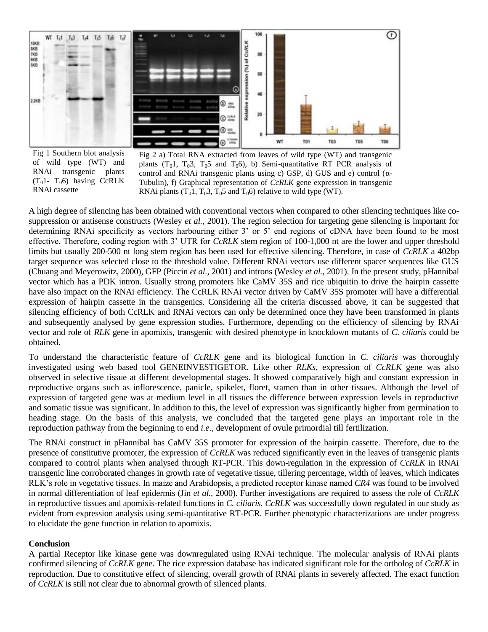

Fig 1 Southern blot analysis of wild type (WT) and RNAi transgenic plants  $(T_01 - T_06)$  having CcRLK RNAi cassette

Fig 2 a) Total RNA extracted from leaves of wild type (WT) and transgenic plants  $(T_01, T_03, T_05$  and  $T_06$ , b) Semi-quantitative RT PCR analysis of control and RNAi transgenic plants using c) GSP, d) GUS and e) control (α-Tubulin), f) Graphical representation of *CcRLK* gene expression in transgenic RNAi plants  $(T_01, T_03, T_05$  and  $T_06$ ) relative to wild type (WT).

A high degree of silencing has been obtained with conventional vectors when compared to other silencing techniques like cosuppression or antisense constructs (Wesley *et al.,* 2001). The region selection for targeting gene silencing is important for determining RNAi specificity as vectors harbouring either 3' or 5' end regions of cDNA have been found to be most effective. Therefore, coding region with 3' UTR for *CcRLK* stem region of 100-1,000 nt are the lower and upper threshold limits but usually 200-500 nt long stem region has been used for effective silencing. Therefore, in case of *CcRLK* a 402bp target sequence was selected close to the threshold value. Different RNAi vectors use different spacer sequences like GUS (Chuang and Meyerowitz, 2000), GFP (Piccin *et al.,* 2001) and introns (Wesley *et al.,* 2001). In the present study, pHannibal vector which has a PDK intron. Usually strong promoters like CaMV 35S and rice ubiquitin to drive the hairpin cassette have also impact on the RNAi efficiency. The CcRLK RNAi vector driven by CaMV 35S promoter will have a differential expression of hairpin cassette in the transgenics. Considering all the criteria discussed above, it can be suggested that silencing efficiency of both CcRLK and RNAi vectors can only be determined once they have been transformed in plants and subsequently analysed by gene expression studies. Furthermore, depending on the efficiency of silencing by RNAi vector and role of *RLK* gene in apomixis, transgenic with desired phenotype in knockdown mutants of *C. ciliaris* could be obtained.

To understand the characteristic feature of *CcRLK* gene and its biological function in *C. ciliaris* was thoroughly investigated using web based tool GENEINVESTIGETOR. Like other *RLKs*, expression of *CcRLK* gene was also observed in selective tissue at different developmental stages. It showed comparatively high and constant expression in reproductive organs such as inflorescence, panicle, spikelet, floret, stamen than in other tissues. Although the level of expression of targeted gene was at medium level in all tissues the difference between expression levels in reproductive and somatic tissue was significant. In addition to this, the level of expression was significantly higher from germination to heading stage. On the basis of this analysis, we concluded that the targeted gene plays an important role in the reproduction pathway from the beginning to end *i.e.,* development of ovule primordial till fertilization.

The RNAi construct in pHannibal has CaMV 35S promoter for expression of the hairpin cassette. Therefore, due to the presence of constitutive promoter, the expression of *CcRLK* was reduced significantly even in the leaves of transgenic plants compared to control plants when analysed through RT-PCR. This down-regulation in the expression of *CcRLK* in RNAi transgenic line corroborated changes in growth rate of vegetative tissue, tillering percentage, width of leaves, which indicates RLK's role in vegetative tissues. In maize and Arabidopsis, a predicted receptor kinase named *CR4* was found to be involved in normal differentiation of leaf epidermis (Jin *et al.,* 2000). Further investigations are required to assess the role of *CcRLK* in reproductive tissues and apomixis-related functions in *C. ciliaris. CcRLK* was successfully down regulated in our study as evident from expression analysis using semi-quantitative RT-PCR. Further phenotypic characterizations are under progress to elucidate the gene function in relation to apomixis.

#### **Conclusion**

A partial Receptor like kinase gene was downregulated using RNAi technique. The molecular analysis of RNAi plants confirmed silencing of *CcRLK* gene. The rice expression database has indicated significant role for the ortholog of *CcRLK* in reproduction. Due to constitutive effect of silencing, overall growth of RNAi plants in severely affected. The exact function of *CcRLK* is still not clear due to abnormal growth of silenced plants.